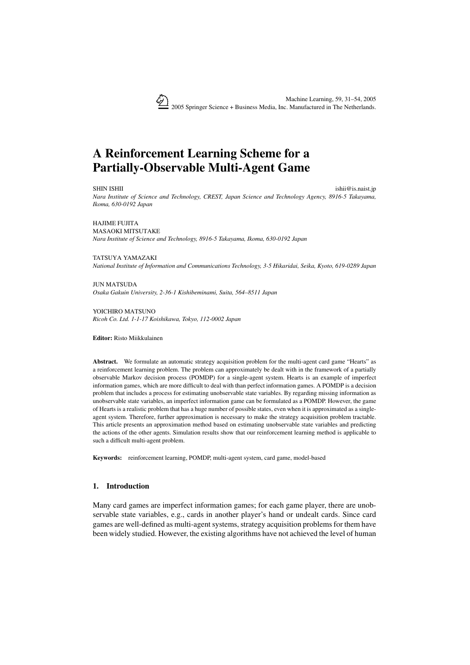# **A Reinforcement Learning Scheme for a Partially-Observable Multi-Agent Game**

SHIN ISHII ishii@is.naist.jp

*Nara Institute of Science and Technology, CREST, Japan Science and Technology Agency, 8916-5 Takayama, Ikoma, 630-0192 Japan*

#### HAJIME FUJITA

MASAOKI MITSUTAKE *Nara Institute of Science and Technology, 8916-5 Takayama, Ikoma, 630-0192 Japan*

#### TATSUYA YAMAZAKI

*National Institute of Information and Communications Technology, 3-5 Hikaridai, Seika, Kyoto, 619-0289 Japan*

JUN MATSUDA *Osaka Gakuin University, 2-36-1 Kishibeminami, Suita, 564–8511 Japan*

YOICHIRO MATSUNO *Ricoh Co. Ltd. 1-1-17 Koishikawa, Tokyo, 112-0002 Japan*

**Editor:** Risto Miikkulainen

**Abstract.** We formulate an automatic strategy acquisition problem for the multi-agent card game "Hearts" as a reinforcement learning problem. The problem can approximately be dealt with in the framework of a partially observable Markov decision process (POMDP) for a single-agent system. Hearts is an example of imperfect information games, which are more difficult to deal with than perfect information games. A POMDP is a decision problem that includes a process for estimating unobservable state variables. By regarding missing information as unobservable state variables, an imperfect information game can be formulated as a POMDP. However, the game of Hearts is a realistic problem that has a huge number of possible states, even when it is approximated as a singleagent system. Therefore, further approximation is necessary to make the strategy acquisition problem tractable. This article presents an approximation method based on estimating unobservable state variables and predicting the actions of the other agents. Simulation results show that our reinforcement learning method is applicable to such a difficult multi-agent problem.

**Keywords:** reinforcement learning, POMDP, multi-agent system, card game, model-based

#### **1. Introduction**

Many card games are imperfect information games; for each game player, there are unobservable state variables, e.g., cards in another player's hand or undealt cards. Since card games are well-defined as multi-agent systems, strategy acquisition problems for them have been widely studied. However, the existing algorithms have not achieved the level of human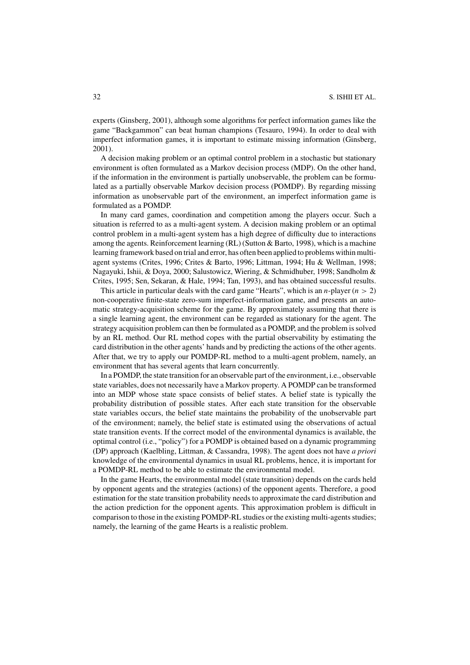experts (Ginsberg, 2001), although some algorithms for perfect information games like the game "Backgammon" can beat human champions (Tesauro, 1994). In order to deal with imperfect information games, it is important to estimate missing information (Ginsberg, 2001).

A decision making problem or an optimal control problem in a stochastic but stationary environment is often formulated as a Markov decision process (MDP). On the other hand, if the information in the environment is partially unobservable, the problem can be formulated as a partially observable Markov decision process (POMDP). By regarding missing information as unobservable part of the environment, an imperfect information game is formulated as a POMDP.

In many card games, coordination and competition among the players occur. Such a situation is referred to as a multi-agent system. A decision making problem or an optimal control problem in a multi-agent system has a high degree of difficulty due to interactions among the agents. Reinforcement learning (RL) (Sutton  $\&$  Barto, 1998), which is a machine learning framework based on trial and error, has often been applied to problems within multiagent systems (Crites, 1996; Crites & Barto, 1996; Littman, 1994; Hu & Wellman, 1998; Nagayuki, Ishii, & Doya, 2000; Salustowicz, Wiering, & Schmidhuber, 1998; Sandholm & Crites, 1995; Sen, Sekaran, & Hale, 1994; Tan, 1993), and has obtained successful results.

This article in particular deals with the card game "Hearts", which is an *n*-player ( $n > 2$ ) non-cooperative finite-state zero-sum imperfect-information game, and presents an automatic strategy-acquisition scheme for the game. By approximately assuming that there is a single learning agent, the environment can be regarded as stationary for the agent. The strategy acquisition problem can then be formulated as a POMDP, and the problem is solved by an RL method. Our RL method copes with the partial observability by estimating the card distribution in the other agents' hands and by predicting the actions of the other agents. After that, we try to apply our POMDP-RL method to a multi-agent problem, namely, an environment that has several agents that learn concurrently.

In a POMDP, the state transition for an observable part of the environment, i.e., observable state variables, does not necessarily have a Markov property. A POMDP can be transformed into an MDP whose state space consists of belief states. A belief state is typically the probability distribution of possible states. After each state transition for the observable state variables occurs, the belief state maintains the probability of the unobservable part of the environment; namely, the belief state is estimated using the observations of actual state transition events. If the correct model of the environmental dynamics is available, the optimal control (i.e., "policy") for a POMDP is obtained based on a dynamic programming (DP) approach (Kaelbling, Littman, & Cassandra, 1998). The agent does not have *a priori* knowledge of the environmental dynamics in usual RL problems, hence, it is important for a POMDP-RL method to be able to estimate the environmental model.

In the game Hearts, the environmental model (state transition) depends on the cards held by opponent agents and the strategies (actions) of the opponent agents. Therefore, a good estimation for the state transition probability needs to approximate the card distribution and the action prediction for the opponent agents. This approximation problem is difficult in comparison to those in the existing POMDP-RL studies or the existing multi-agents studies; namely, the learning of the game Hearts is a realistic problem.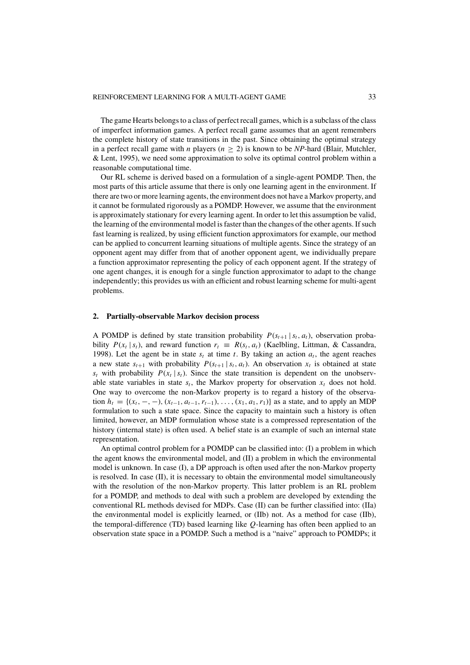The game Hearts belongs to a class of perfect recall games, which is a subclass of the class of imperfect information games. A perfect recall game assumes that an agent remembers the complete history of state transitions in the past. Since obtaining the optimal strategy in a perfect recall game with *n* players ( $n \ge 2$ ) is known to be *NP*-hard (Blair, Mutchler, & Lent, 1995), we need some approximation to solve its optimal control problem within a reasonable computational time.

Our RL scheme is derived based on a formulation of a single-agent POMDP. Then, the most parts of this article assume that there is only one learning agent in the environment. If there are two or more learning agents, the environment does not have a Markov property, and it cannot be formulated rigorously as a POMDP. However, we assume that the environment is approximately stationary for every learning agent. In order to let this assumption be valid, the learning of the environmental model is faster than the changes of the other agents. If such fast learning is realized, by using efficient function approximators for example, our method can be applied to concurrent learning situations of multiple agents. Since the strategy of an opponent agent may differ from that of another opponent agent, we individually prepare a function approximator representing the policy of each opponent agent. If the strategy of one agent changes, it is enough for a single function approximator to adapt to the change independently; this provides us with an efficient and robust learning scheme for multi-agent problems.

#### **2. Partially-observable Markov decision process**

A POMDP is defined by state transition probability  $P(s_{t+1} | s_t, a_t)$ , observation probability  $P(x_t | s_t)$ , and reward function  $r_t \equiv R(s_t, a_t)$  (Kaelbling, Littman, & Cassandra, 1998). Let the agent be in state  $s_t$  at time  $t$ . By taking an action  $a_t$ , the agent reaches a new state  $s_{t+1}$  with probability  $P(s_{t+1} | s_t, a_t)$ . An observation  $x_t$  is obtained at state  $s_t$  with probability  $P(x_t | s_t)$ . Since the state transition is dependent on the unobservable state variables in state  $s_t$ , the Markov property for observation  $x_t$  does not hold. One way to overcome the non-Markov property is to regard a history of the observation  $h_t = \{(x_t, -, -), (x_{t-1}, a_{t-1}, r_{t-1}), \ldots, (x_1, a_1, r_1)\}$  as a state, and to apply an MDP formulation to such a state space. Since the capacity to maintain such a history is often limited, however, an MDP formulation whose state is a compressed representation of the history (internal state) is often used. A belief state is an example of such an internal state representation.

An optimal control problem for a POMDP can be classified into: (I) a problem in which the agent knows the environmental model, and (II) a problem in which the environmental model is unknown. In case (I), a DP approach is often used after the non-Markov property is resolved. In case (II), it is necessary to obtain the environmental model simultaneously with the resolution of the non-Markov property. This latter problem is an RL problem for a POMDP, and methods to deal with such a problem are developed by extending the conventional RL methods devised for MDPs. Case (II) can be further classified into: (IIa) the environmental model is explicitly learned, or (IIb) not. As a method for case (IIb), the temporal-difference (TD) based learning like *Q*-learning has often been applied to an observation state space in a POMDP. Such a method is a "naive" approach to POMDPs; it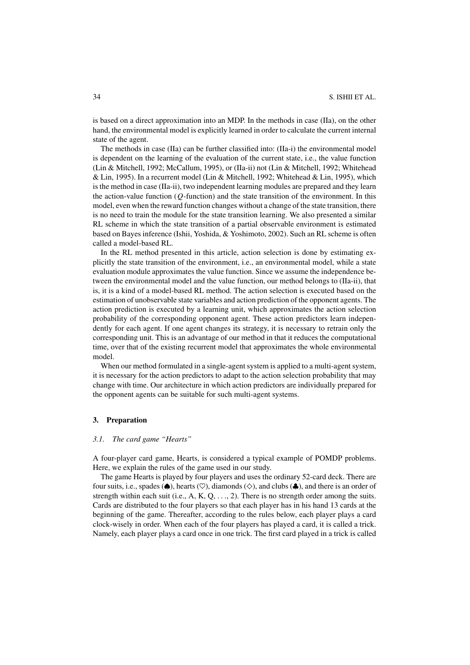is based on a direct approximation into an MDP. In the methods in case (IIa), on the other hand, the environmental model is explicitly learned in order to calculate the current internal state of the agent.

The methods in case (IIa) can be further classified into: (IIa-i) the environmental model is dependent on the learning of the evaluation of the current state, i.e., the value function (Lin & Mitchell, 1992; McCallum, 1995), or (IIa-ii) not (Lin & Mitchell, 1992; Whitehead & Lin, 1995). In a recurrent model (Lin & Mitchell, 1992; Whitehead & Lin, 1995), which is the method in case (IIa-ii), two independent learning modules are prepared and they learn the action-value function (*Q*-function) and the state transition of the environment. In this model, even when the reward function changes without a change of the state transition, there is no need to train the module for the state transition learning. We also presented a similar RL scheme in which the state transition of a partial observable environment is estimated based on Bayes inference (Ishii, Yoshida, & Yoshimoto, 2002). Such an RL scheme is often called a model-based RL.

In the RL method presented in this article, action selection is done by estimating explicitly the state transition of the environment, i.e., an environmental model, while a state evaluation module approximates the value function. Since we assume the independence between the environmental model and the value function, our method belongs to (IIa-ii), that is, it is a kind of a model-based RL method. The action selection is executed based on the estimation of unobservable state variables and action prediction of the opponent agents. The action prediction is executed by a learning unit, which approximates the action selection probability of the corresponding opponent agent. These action predictors learn independently for each agent. If one agent changes its strategy, it is necessary to retrain only the corresponding unit. This is an advantage of our method in that it reduces the computational time, over that of the existing recurrent model that approximates the whole environmental model.

When our method formulated in a single-agent system is applied to a multi-agent system, it is necessary for the action predictors to adapt to the action selection probability that may change with time. Our architecture in which action predictors are individually prepared for the opponent agents can be suitable for such multi-agent systems.

#### **3. Preparation**

# *3.1. The card game "Hearts"*

A four-player card game, Hearts, is considered a typical example of POMDP problems. Here, we explain the rules of the game used in our study.

The game Hearts is played by four players and uses the ordinary 52-card deck. There are four suits, i.e., spades ( $\spadesuit$ ), hearts  $(\heartsuit)$ , diamonds  $(\diamondsuit)$ , and clubs  $(\clubsuit)$ , and there is an order of strength within each suit (i.e.,  $A, K, Q, \ldots, 2$ ). There is no strength order among the suits. Cards are distributed to the four players so that each player has in his hand 13 cards at the beginning of the game. Thereafter, according to the rules below, each player plays a card clock-wisely in order. When each of the four players has played a card, it is called a trick. Namely, each player plays a card once in one trick. The first card played in a trick is called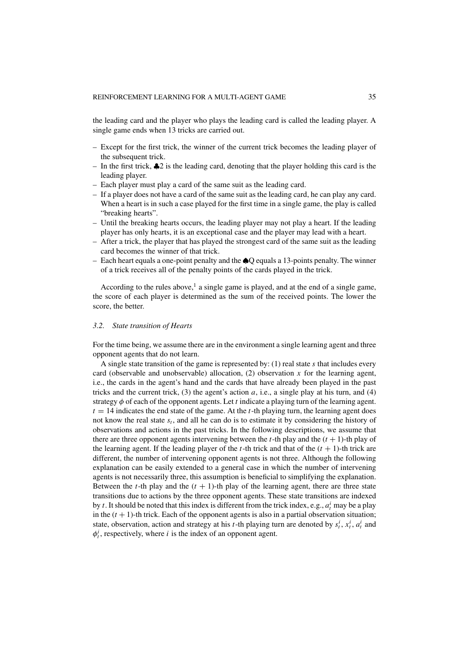the leading card and the player who plays the leading card is called the leading player. A single game ends when 13 tricks are carried out.

- Except for the first trick, the winner of the current trick becomes the leading player of the subsequent trick.
- In the first trick, ♣2 is the leading card, denoting that the player holding this card is the leading player.
- Each player must play a card of the same suit as the leading card.
- If a player does not have a card of the same suit as the leading card, he can play any card. When a heart is in such a case played for the first time in a single game, the play is called "breaking hearts".
- Until the breaking hearts occurs, the leading player may not play a heart. If the leading player has only hearts, it is an exceptional case and the player may lead with a heart.
- After a trick, the player that has played the strongest card of the same suit as the leading card becomes the winner of that trick.
- Each heart equals a one-point penalty and the ♠Q equals a 13-points penalty. The winner of a trick receives all of the penalty points of the cards played in the trick.

According to the rules above,<sup>1</sup> a single game is played, and at the end of a single game, the score of each player is determined as the sum of the received points. The lower the score, the better.

### *3.2. State transition of Hearts*

For the time being, we assume there are in the environment a single learning agent and three opponent agents that do not learn.

A single state transition of the game is represented by: (1) real state *s* that includes every card (observable and unobservable) allocation,  $(2)$  observation  $x$  for the learning agent, i.e., the cards in the agent's hand and the cards that have already been played in the past tricks and the current trick,  $(3)$  the agent's action *a*, i.e., a single play at his turn, and  $(4)$ strategy  $\phi$  of each of the opponent agents. Let *t* indicate a playing turn of the learning agent.  $t = 14$  indicates the end state of the game. At the  $t$ -th playing turn, the learning agent does not know the real state  $s_t$ , and all he can do is to estimate it by considering the history of observations and actions in the past tricks. In the following descriptions, we assume that there are three opponent agents intervening between the  $t$ -th play and the  $(t + 1)$ -th play of the learning agent. If the leading player of the  $t$ -th trick and that of the  $(t + 1)$ -th trick are different, the number of intervening opponent agents is not three. Although the following explanation can be easily extended to a general case in which the number of intervening agents is not necessarily three, this assumption is beneficial to simplifying the explanation. Between the *t*-th play and the  $(t + 1)$ -th play of the learning agent, there are three state transitions due to actions by the three opponent agents. These state transitions are indexed by *t*. It should be noted that this index is different from the trick index, e.g.,  $a_t^i$  may be a play in the  $(t + 1)$ -th trick. Each of the opponent agents is also in a partial observation situation; state, observation, action and strategy at his *t*-th playing turn are denoted by  $s_t^i$ ,  $x_t^i$ ,  $a_t^i$  and  $\phi_t^i$ , respectively, where *i* is the index of an opponent agent.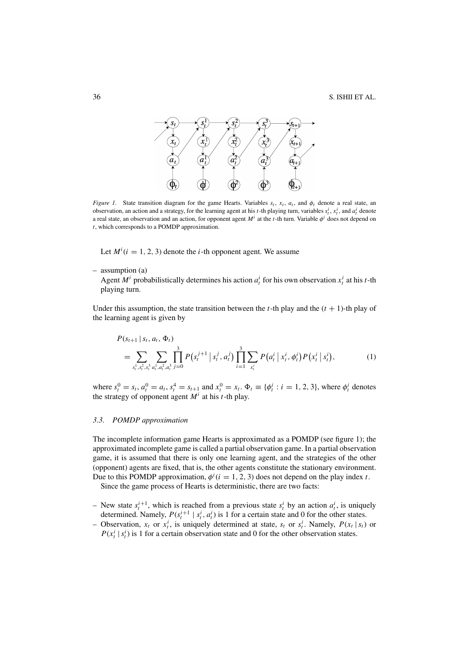

*Figure 1*. State transition diagram for the game Hearts. Variables  $s_t$ ,  $x_t$ ,  $a_t$ , and  $\phi_t$  denote a real state, an observation, an action and a strategy, for the learning agent at his *t*-th playing turn, variables  $s_t^i$ ,  $x_t^i$ , and  $a_t^i$  denote a real state, an observation and an action, for opponent agent  $M^i$  at the *t*-th turn. Variable  $\phi^i$  does not depend on *t*, which corresponds to a POMDP approximation.

Let  $M^{i}$  ( $i = 1, 2, 3$ ) denote the *i*-th opponent agent. We assume

– assumption (a)

Agent  $M^i$  probabilistically determines his action  $a^i_t$  for his own observation  $x^i_t$  at his *t*-th playing turn.

Under this assumption, the state transition between the *t*-th play and the  $(t + 1)$ -th play of the learning agent is given by

$$
P(s_{t+1} | s_t, a_t, \Phi_t) = \sum_{s_t^1, s_t^2, s_t^3} \sum_{a_t^1, a_t^2, a_t^3} \prod_{j=0}^3 P(s_t^{j+1} | s_t^j, a_t^j) \prod_{i=1}^3 \sum_{x_t^i} P(a_t^i | x_t^i, \phi_t^i) P(x_t^i | s_t^i),
$$
(1)

where  $s_t^0 = s_t$ ,  $a_t^0 = a_t$ ,  $s_t^4 = s_{t+1}$  and  $x_t^0 = x_t$ .  $\Phi_t \equiv {\phi_t^i : i = 1, 2, 3}$ , where  $\phi_t^i$  denotes the strategy of opponent agent  $M^i$  at his *t*-th play.

# *3.3. POMDP approximation*

The incomplete information game Hearts is approximated as a POMDP (see figure 1); the approximated incomplete game is called a partial observation game. In a partial observation game, it is assumed that there is only one learning agent, and the strategies of the other (opponent) agents are fixed, that is, the other agents constitute the stationary environment. Due to this POMDP approximation,  $\phi^i(i = 1, 2, 3)$  does not depend on the play index *t*.

Since the game process of Hearts is deterministic, there are two facts:

- $-$  New state  $s_t^{i+1}$ , which is reached from a previous state  $s_t^i$  by an action  $a_t^i$ , is uniquely determined. Namely,  $P(s_t^{i+1} | s_t^i, a_t^i)$  is 1 for a certain state and 0 for the other states.
- $-$  Observation,  $x_t$  or  $x_t^i$ , is uniquely determined at state,  $s_t$  or  $s_t^i$ . Namely,  $P(x_t | s_t)$  or  $P(x_i^i | s_i^i)$  is 1 for a certain observation state and 0 for the other observation states.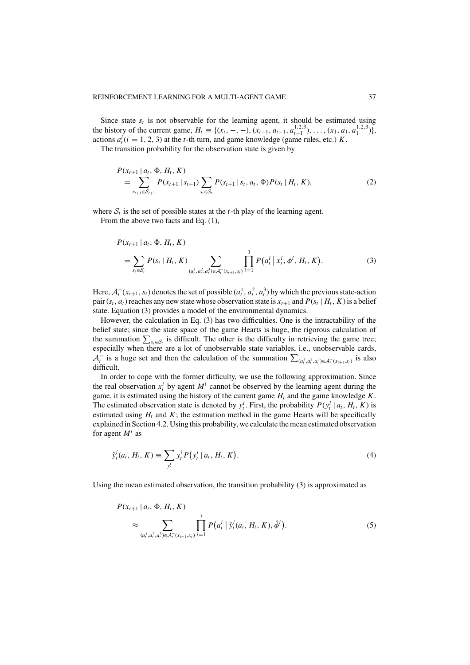Since state  $s_t$  is not observable for the learning agent, it should be estimated using the history of the current game,  $H_t \equiv \{(x_t, -, -,), (x_{t-1}, a_{t-1}, a_{t-1}^{1,2,3}), \ldots, (x_1, a_1, a_1^{1,2,3})\},\}$ actions  $a_t^i$  (*i* = 1, 2, 3) at the *t*-th turn, and game knowledge (game rules, etc.) *K*.

The transition probability for the observation state is given by

$$
P(x_{t+1} | a_t, \Phi, H_t, K) = \sum_{s_{t+1} \in S_{t+1}} P(x_{t+1} | s_{t+1}) \sum_{s_t \in S_t} P(s_{t+1} | s_t, a_t, \Phi) P(s_t | H_t, K),
$$
\n(2)

where  $S_t$  is the set of possible states at the  $t$ -th play of the learning agent.

From the above two facts and Eq. (1),

$$
P(x_{t+1} | a_t, \Phi, H_t, K) = \sum_{s_t \in S_t} P(s_t | H_t, K) \sum_{(a_t^1, a_t^2, a_t^3) \in \mathcal{A}_t^-(x_{t+1}, s_t)} \prod_{i=1}^3 P(a_t^i | x_t^i, \phi^i, H_t, K).
$$
 (3)

Here,  $A_t^-(x_{t+1}, s_t)$  denotes the set of possible  $(a_t^1, a_t^2, a_t^3)$  by which the previous state-action pair  $(s_t, a_t)$  reaches any new state whose observation state is  $x_{t+1}$  and  $P(s_t | H_t, K)$  is a belief state. Equation (3) provides a model of the environmental dynamics.

However, the calculation in Eq. (3) has two difficulties. One is the intractability of the belief state; since the state space of the game Hearts is huge, the rigorous calculation of the summation  $\sum_{s_t \in S_t}$  is difficult. The other is the difficulty in retrieving the game tree; especially when there are a lot of unobservable state variables, i.e., unobservable cards,  $\mathcal{A}_t^-$  is a huge set and then the calculation of the summation  $\sum_{(a_i^1, a_i^2, a_i^3) \in \mathcal{A}_t^-(x_{t+1}, s_t)}$  is also difficult.

In order to cope with the former difficulty, we use the following approximation. Since the real observation  $x_t^i$  by agent  $M^i$  cannot be observed by the learning agent during the game, it is estimated using the history of the current game  $H_t$  and the game knowledge  $K$ . The estimated observation state is denoted by  $y_t^i$ . First, the probability  $P(y_t^i | a_t, H_t, K)$  is estimated using  $H_t$  and  $K$ ; the estimation method in the game Hearts will be specifically explained in Section 4.2. Using this probability, we calculate the mean estimated observation for agent  $M^i$  as

$$
\hat{y}_t^i(a_t, H_t, K) \equiv \sum_{y_t^i} y_t^i P(y_t^i \mid a_t, H_t, K).
$$
\n(4)

Using the mean estimated observation, the transition probability (3) is approximated as

$$
P(x_{t+1} | a_t, \Phi, H_t, K) \approx \sum_{(a_t^1, a_t^2, a_t^3) \in A_t^-(x_{t+1}, x_t)} \prod_{i=1}^3 P(a_t^i | \hat{y}_t^i(a_t, H_t, K), \hat{\phi}^i).
$$
 (5)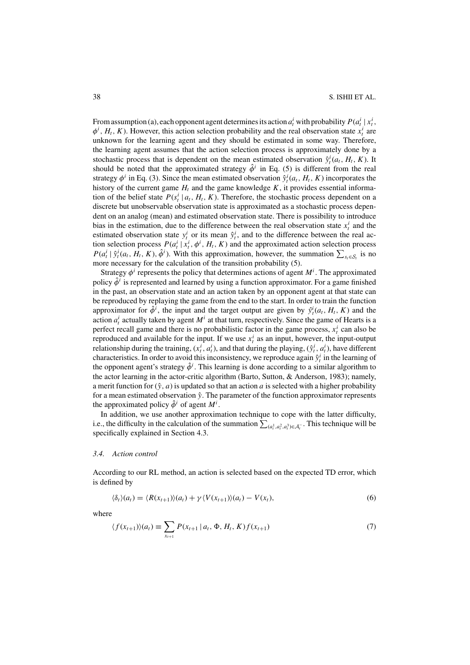From assumption (a), each opponent agent determines its action  $a_t^i$  with probability  $P(a_t^i | x_t^i)$ ,  $\phi^i$ ,  $H_t$ , *K*). However, this action selection probability and the real observation state  $x_t^i$  are unknown for the learning agent and they should be estimated in some way. Therefore, the learning agent assumes that the action selection process is approximately done by a stochastic process that is dependent on the mean estimated observation  $\hat{y}^i_t(a_t, H_t, K)$ . It should be noted that the approximated strategy  $\hat{\phi}^i$  in Eq. (5) is different from the real strategy  $\phi^i$  in Eq. (3). Since the mean estimated observation  $\hat{y}^i_t(a_t, H_t, K)$  incorporates the history of the current game  $H_t$  and the game knowledge  $K$ , it provides essential information of the belief state  $P(s_t^i | a_t, H_t, K)$ . Therefore, the stochastic process dependent on a discrete but unobservable observation state is approximated as a stochastic process dependent on an analog (mean) and estimated observation state. There is possibility to introduce bias in the estimation, due to the difference between the real observation state  $x_t^i$  and the estimated observation state  $y_t^i$  or its mean  $\hat{y}_t^i$ , and to the difference between the real action selection process  $P(a_t^i | x_t^i, \phi^i, H_t, K)$  and the approximated action selection process  $P(a_i^i | \hat{y}_i^i(a_t, H_t, K), \hat{\phi}^i)$ . With this approximation, however, the summation  $\sum_{s_i \in S_t}$  is no more necessary for the calculation of the transition probability (5).

Strategy  $\phi^i$  represents the policy that determines actions of agent  $M^i$ . The approximated policy  $\hat{\phi}^i$  is represented and learned by using a function approximator. For a game finished in the past, an observation state and an action taken by an opponent agent at that state can be reproduced by replaying the game from the end to the start. In order to train the function approximator for  $\hat{\phi}^i$ , the input and the target output are given by  $\hat{y}^i_t(a_t, H_t, K)$  and the action  $a_t^i$  actually taken by agent  $M^i$  at that turn, respectively. Since the game of Hearts is a perfect recall game and there is no probabilistic factor in the game process,  $x_t^i$  can also be reproduced and available for the input. If we use  $x_t^i$  as an input, however, the input-output relationship during the training,  $(x_t^i, a_t^i)$ , and that during the playing,  $(\hat{y}_t^i, a_t^i)$ , have different characteristics. In order to avoid this inconsistency, we reproduce again  $\hat{y}^i_t$  in the learning of the opponent agent's strategy  $\hat{\phi}^i$ . This learning is done according to a similar algorithm to the actor learning in the actor-critic algorithm (Barto, Sutton, & Anderson, 1983); namely, a merit function for  $(\hat{y}, a)$  is updated so that an action *a* is selected with a higher probability for a mean estimated observation  $\hat{y}$ . The parameter of the function approximator represents the approximated policy  $\hat{\phi}^i$  of agent  $M^i$ .

In addition, we use another approximation technique to cope with the latter difficulty, i.e., the difficulty in the calculation of the summation  $\sum_{(a_i^1, a_i^2, a_i^3) \in A_i^-}$ . This technique will be specifically explained in Section 4.3.

#### *3.4. Action control*

According to our RL method, an action is selected based on the expected TD error, which is defined by

$$
\langle \delta_t \rangle(a_t) = \langle R(x_{t+1}) \rangle(a_t) + \gamma \langle V(x_{t+1}) \rangle(a_t) - V(x_t), \tag{6}
$$

where

$$
\langle f(x_{t+1})\rangle(a_t) \equiv \sum_{x_{t+1}} P(x_{t+1} | a_t, \Phi, H_t, K) f(x_{t+1}) \tag{7}
$$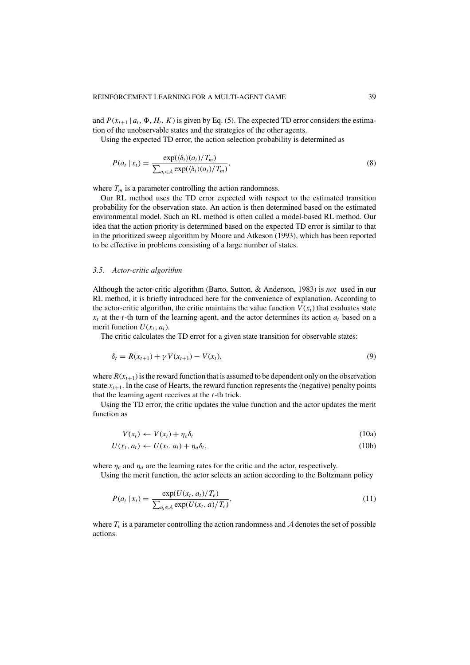and  $P(x_{t+1} | a_t, \Phi, H_t, K)$  is given by Eq. (5). The expected TD error considers the estimation of the unobservable states and the strategies of the other agents.

Using the expected TD error, the action selection probability is determined as

$$
P(a_t | x_t) = \frac{\exp(\langle \delta_t \rangle (a_t) / T_m)}{\sum_{a_t \in \mathcal{A}} \exp(\langle \delta_t \rangle (a_t) / T_m)},
$$
\n(8)

where  $T_m$  is a parameter controlling the action randomness.

Our RL method uses the TD error expected with respect to the estimated transition probability for the observation state. An action is then determined based on the estimated environmental model. Such an RL method is often called a model-based RL method. Our idea that the action priority is determined based on the expected TD error is similar to that in the prioritized sweep algorithm by Moore and Atkeson (1993), which has been reported to be effective in problems consisting of a large number of states.

#### *3.5. Actor-critic algorithm*

Although the actor-critic algorithm (Barto, Sutton, & Anderson, 1983) is *not* used in our RL method, it is briefly introduced here for the convenience of explanation. According to the actor-critic algorithm, the critic maintains the value function  $V(x_t)$  that evaluates state  $x_t$  at the *t*-th turn of the learning agent, and the actor determines its action  $a_t$  based on a merit function  $U(x_t, a_t)$ .

The critic calculates the TD error for a given state transition for observable states:

$$
\delta_t = R(x_{t+1}) + \gamma V(x_{t+1}) - V(x_t),
$$
\n(9)

where  $R(x_{t+1})$  is the reward function that is assumed to be dependent only on the observation state  $x_{t+1}$ . In the case of Hearts, the reward function represents the (negative) penalty points that the learning agent receives at the *t*-th trick.

Using the TD error, the critic updates the value function and the actor updates the merit function as

$$
V(x_t) \leftarrow V(x_t) + \eta_c \delta_t \tag{10a}
$$

$$
U(x_t, a_t) \leftarrow U(x_t, a_t) + \eta_a \delta_t, \qquad (10b)
$$

where  $\eta_c$  and  $\eta_a$  are the learning rates for the critic and the actor, respectively.

Using the merit function, the actor selects an action according to the Boltzmann policy

$$
P(a_t | x_t) = \frac{\exp(U(x_t, a_t)/T_e)}{\sum_{a_t \in \mathcal{A}} \exp(U(x_t, a)/T_e)},
$$
\n(11)

where  $T_e$  is a parameter controlling the action randomness and  $\mathcal A$  denotes the set of possible actions.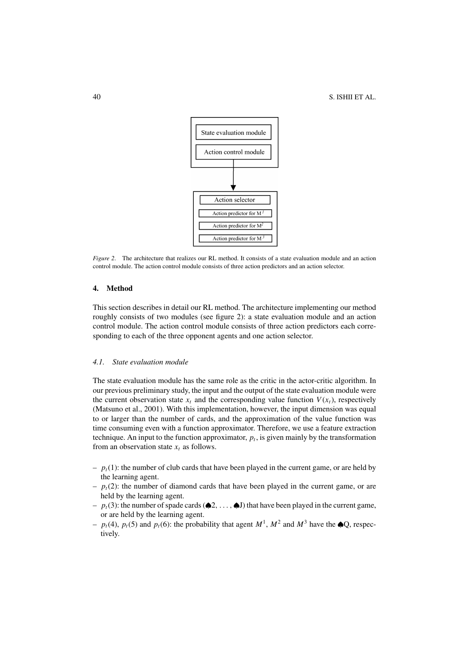

*Figure 2*. The architecture that realizes our RL method. It consists of a state evaluation module and an action control module. The action control module consists of three action predictors and an action selector.

# **4. Method**

This section describes in detail our RL method. The architecture implementing our method roughly consists of two modules (see figure 2): a state evaluation module and an action control module. The action control module consists of three action predictors each corresponding to each of the three opponent agents and one action selector.

#### *4.1. State evaluation module*

The state evaluation module has the same role as the critic in the actor-critic algorithm. In our previous preliminary study, the input and the output of the state evaluation module were the current observation state  $x_t$  and the corresponding value function  $V(x_t)$ , respectively (Matsuno et al., 2001). With this implementation, however, the input dimension was equal to or larger than the number of cards, and the approximation of the value function was time consuming even with a function approximator. Therefore, we use a feature extraction technique. An input to the function approximator,  $p_t$ , is given mainly by the transformation from an observation state  $x_t$  as follows.

- $p_t(1)$ : the number of club cards that have been played in the current game, or are held by the learning agent.
- $p_t(2)$ : the number of diamond cards that have been played in the current game, or are held by the learning agent.
- $-p_t(3)$ : the number of spade cards ( $\triangle 2, \ldots, \triangle 1$ ) that have been played in the current game, or are held by the learning agent.
- $-p_t(4)$ ,  $p_t(5)$  and  $p_t(6)$ : the probability that agent  $M^1$ ,  $M^2$  and  $M^3$  have the  $\bigcirc Q$ , respectively.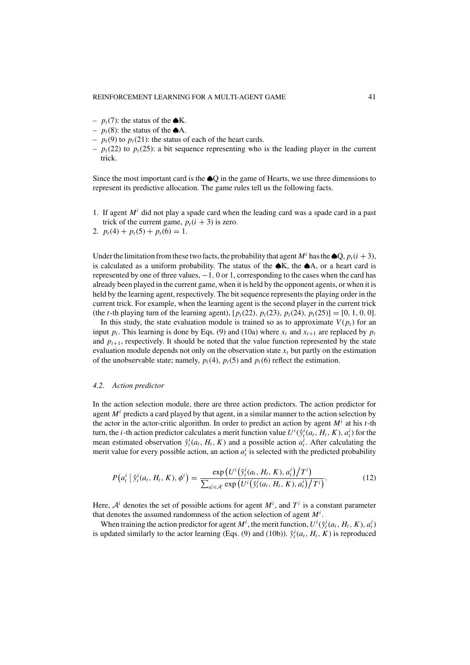- $p_t(7)$ : the status of the **♠K**.
- $p_t(8)$ : the status of the ◆A.
- $p_t(9)$  to  $p_t(21)$ : the status of each of the heart cards.
- $p_t(22)$  to  $p_t(25)$ : a bit sequence representing who is the leading player in the current trick.

Since the most important card is the  $\triangle Q$  in the game of Hearts, we use three dimensions to represent its predictive allocation. The game rules tell us the following facts.

- 1. If agent  $M<sup>i</sup>$  did not play a spade card when the leading card was a spade card in a past trick of the current game,  $p_t(i + 3)$  is zero.
- 2.  $p_t(4) + p_t(5) + p_t(6) = 1$ .

Under the limitation from these two facts, the probability that agent  $M^i$  has the  $\bigcirc Q$ ,  $p_t(i+3)$ , is calculated as a uniform probability. The status of the  $\triangle K$ , the  $\triangle A$ , or a heart card is represented by one of three values,  $-1$ , 0 or 1, corresponding to the cases when the card has already been played in the current game, when it is held by the opponent agents, or when it is held by the learning agent, respectively. The bit sequence represents the playing order in the current trick. For example, when the learning agent is the second player in the current trick (the *t*-th playing turn of the learning agent),  $[p_t(22), p_t(23), p_t(24), p_t(25)] = [0, 1, 0, 0].$ 

In this study, the state evaluation module is trained so as to approximate  $V(p_t)$  for an input  $p_t$ . This learning is done by Eqs. (9) and (10a) where  $x_t$  and  $x_{t+1}$  are replaced by  $p_t$ and  $p_{t+1}$ , respectively. It should be noted that the value function represented by the state evaluation module depends not only on the observation state  $x_t$  but partly on the estimation of the unobservable state; namely,  $p_t(4)$ ,  $p_t(5)$  and  $p_t(6)$  reflect the estimation.

#### *4.2. Action predictor*

In the action selection module, there are three action predictors. The action predictor for agent  $M<sup>i</sup>$  predicts a card played by that agent, in a similar manner to the action selection by the actor in the actor-critic algorithm. In order to predict an action by agent  $M^i$  at his *t*-th turn, the *i*-th action predictor calculates a merit function value  $U^{i}(\hat{y}_{t}^{i}(a_{t}, H_{t}, K), a_{t}^{i})$  for the mean estimated observation  $\hat{y}^i_t(a_t, H_t, K)$  and a possible action  $a^i_t$ . After calculating the merit value for every possible action, an action  $a_t^i$  is selected with the predicted probability

$$
P\left(a_{t}^{i} \mid \hat{y}_{t}^{i}(a_{t}, H_{t}, K), \phi^{i}\right) = \frac{\exp\left(U^{i}\left(\hat{y}_{t}^{i}(a_{t}, H_{t}, K), a_{t}^{i}\right) / T^{i}\right)}{\sum_{a_{t}^{i} \in A^{i}} \exp\left(U^{i}\left(\hat{y}_{t}^{i}(a_{t}, H_{t}, K), a_{t}^{i}\right) / T^{i}\right)}.
$$
(12)

Here,  $A^i$  denotes the set of possible actions for agent  $M^i$ , and  $T^i$  is a constant parameter that denotes the assumed randomness of the action selection of agent *M<sup>i</sup>* .

When training the action predictor for agent  $M^i$ , the merit function,  $U^i(\hat{y}_t^i(a_t, H_t, K), a_t^i)$ is updated similarly to the actor learning (Eqs. (9) and (10b)).  $\hat{y}^i_t(a_t, H_t, K)$  is reproduced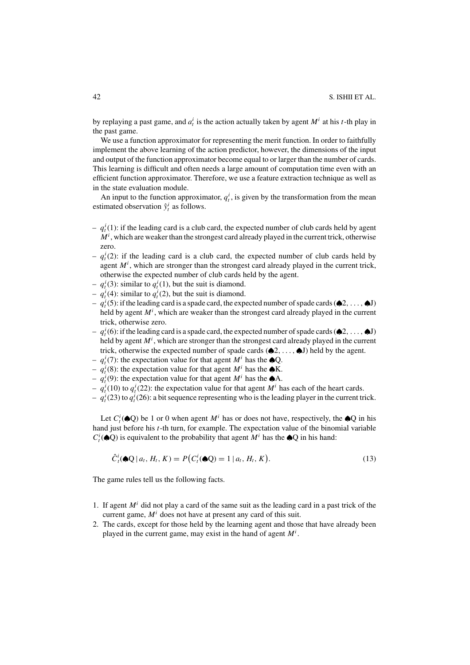by replaying a past game, and  $a_t^i$  is the action actually taken by agent  $M^i$  at his *t*-th play in the past game.

We use a function approximator for representing the merit function. In order to faithfully implement the above learning of the action predictor, however, the dimensions of the input and output of the function approximator become equal to or larger than the number of cards. This learning is difficult and often needs a large amount of computation time even with an efficient function approximator. Therefore, we use a feature extraction technique as well as in the state evaluation module.

An input to the function approximator,  $q_t^i$ , is given by the transformation from the mean estimated observation  $\hat{y}_t^i$  as follows.

- $q_t^i(1)$ : if the leading card is a club card, the expected number of club cards held by agent  $M^i$ , which are weaker than the strongest card already played in the current trick, otherwise zero.
- $-q_t^i(2)$ : if the leading card is a club card, the expected number of club cards held by agent  $M^i$ , which are stronger than the strongest card already played in the current trick, otherwise the expected number of club cards held by the agent.
- $-q_t^i(3)$ : similar to  $q_t^i(1)$ , but the suit is diamond.
- $-q_t^i(4)$ : similar to  $q_t^i(2)$ , but the suit is diamond.
- $q_t^i(5)$ : if the leading card is a spade card, the expected number of spade cards ( $\triangle 2, \ldots, \triangle 1$ ) held by agent *M<sup>i</sup>* , which are weaker than the strongest card already played in the current trick, otherwise zero.
- $q_t^i(6)$ : if the leading card is a spade card, the expected number of spade cards ( $\triangle 2, \ldots, \triangle 1$ ) held by agent *M<sup>i</sup>* , which are stronger than the strongest card already played in the current trick, otherwise the expected number of spade cards  $(\triangle 2, \ldots, \triangle J)$  held by the agent.
- $-q_t^i(7)$ : the expectation value for that agent *M<sup>i</sup>* has the  $\triangle Q$ .
- $-q_t^i(8)$ : the expectation value for that agent *M<sup>i</sup>* has the  $\bigtriangleup K$ .
- $-q_t^i(9)$ : the expectation value for that agent  $M^i$  has the  $\spadesuit A$ .
- $q_t^i(10)$  to  $q_t^i(22)$ : the expectation value for that agent  $M^i$  has each of the heart cards.
- $q_t^i(23)$  to  $q_t^i(26)$ : a bit sequence representing who is the leading player in the current trick.

Let  $C_t^i$  ( $\bullet$ Q) be 1 or 0 when agent  $M^i$  has or does not have, respectively, the  $\bullet$ Q in his hand just before his *t*-th turn, for example. The expectation value of the binomial variable  $C_t^i$  ( $\bullet$ Q) is equivalent to the probability that agent *M<sup><i>i*</sup> has the  $\bullet$ Q in his hand:

$$
\hat{C}_t^i(\mathbf{\bullet} \mathbf{Q} \mid a_t, H_t, K) = P\big(C_t^i(\mathbf{\bullet} \mathbf{Q}) = 1 \mid a_t, H_t, K\big). \tag{13}
$$

The game rules tell us the following facts.

*C*ˆ*i*

- 1. If agent  $M<sup>i</sup>$  did not play a card of the same suit as the leading card in a past trick of the current game, *M<sup>i</sup>* does not have at present any card of this suit.
- 2. The cards, except for those held by the learning agent and those that have already been played in the current game, may exist in the hand of agent *M<sup>i</sup>* .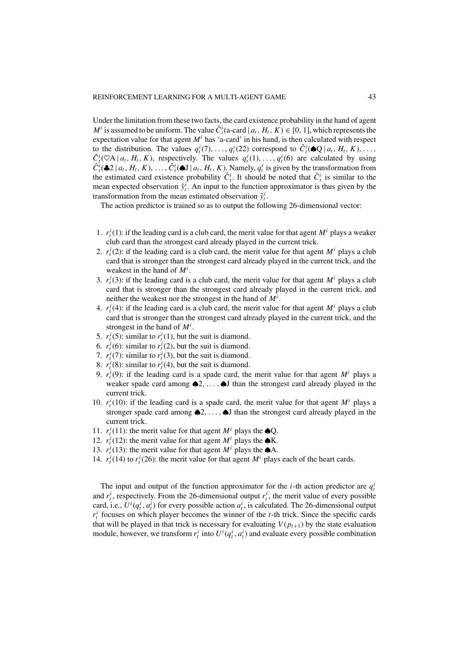Under the limitation from these two facts, the card existence probability in the hand of agent *M*<sup>*i*</sup> is assumed to be uniform. The value  $\hat{C}^i_i$  (a-card  $| a_t, H_t, K) \in [0, 1]$ , which represents the expectation value for that agent  $M<sup>i</sup>$  has 'a-card' in his hand, is then calculated with respect to the distribution. The values  $q_t^i(7), \ldots, q_t^i(22)$  correspond to  $\hat{C}_t^i(\text{A}Q | a_t, H_t, K), \ldots$ ,  $\hat{C}_t^i(\nabla A \mid a_t, H_t, K)$ , respectively. The values  $q_t^i(1), \ldots, q_t^i(6)$  are calculated by using  $\hat{C}_t^i$ ( $\clubsuit$ 2 | *a<sub>t</sub>*, *H<sub>t</sub>*, *K*), ...,  $\hat{C}_t^i$ ( $\spadesuit$ J | *a<sub>t</sub>*, *H<sub>t</sub>*, *K*). Namely,  $q_t^i$  is given by the transformation from the estimated card existence probability  $\hat{C}_i^i$ . It should be noted that  $\hat{C}_i^i$  is similar to the mean expected observation  $\hat{y}_t^i$ . An input to the function approximator is thus given by the transformation from the mean estimated observation  $\hat{y}_t^i$ .

The action predictor is trained so as to output the following 26-dimensional vector:

- 1.  $r_t^i(1)$ : if the leading card is a club card, the merit value for that agent  $M^i$  plays a weaker club card than the strongest card already played in the current trick.
- 2.  $r_t^i(2)$ : if the leading card is a club card, the merit value for that agent  $M^i$  plays a club card that is stronger than the strongest card already played in the current trick, and the weakest in the hand of *M<sup>i</sup>* .
- 3.  $r_t^i(3)$ : if the leading card is a club card, the merit value for that agent  $M^i$  plays a club card that is stronger than the strongest card already played in the current trick, and neither the weakest nor the strongest in the hand of *M<sup>i</sup>* .
- 4.  $r_t^i(4)$ : if the leading card is a club card, the merit value for that agent  $M^i$  plays a club card that is stronger than the strongest card already played in the current trick, and the strongest in the hand of *M<sup>i</sup>* .
- 5.  $r_t^i(5)$ : similar to  $r_t^i(1)$ , but the suit is diamond.
- 6.  $r_t^i(6)$ : similar to  $r_t^i(2)$ , but the suit is diamond.
- 7.  $r_t^i(7)$ : similar to  $r_t^i(3)$ , but the suit is diamond.
- 8.  $r_t^i(8)$ : similar to  $r_t^i(4)$ , but the suit is diamond.
- 9.  $r_t^i$ (9): if the leading card is a spade card, the merit value for that agent  $M^i$  plays a weaker spade card among  $\spadesuit 2, \ldots, \spadesuit J$  than the strongest card already played in the current trick.
- 10.  $r_t^i(10)$ : if the leading card is a spade card, the merit value for that agent  $M^i$  plays a stronger spade card among  $\triangle 2, \ldots, \triangle J$  than the strongest card already played in the current trick.
- 11.  $r_t^i(11)$ : the merit value for that agent  $M^i$  plays the  $\spadesuit Q$ .
- 12.  $r_t^i(12)$ : the merit value for that agent  $M^i$  plays the  $\bigtriangleup K$ .
- 13.  $r_t^i(13)$ : the merit value for that agent  $M^i$  plays the  $\spadesuit A$ .
- 14.  $r_t^i(14)$  to  $r_t^i(26)$ : the merit value for that agent  $M^i$  plays each of the heart cards.

The input and output of the function approximator for the *i*-th action predictor are  $q_t^i$ and  $r_t^i$ , respectively. From the 26-dimensional output  $r_t^i$ , the merit value of every possible card, i.e.,  $U^i(q_t^i, a_t^i)$  for every possible action  $a_t^i$ , is calculated. The 26-dimensional output  $r_t^i$  focuses on which player becomes the winner of the *t*-th trick. Since the specific cards that will be played in that trick is necessary for evaluating  $V(p_{t+1})$  by the state evaluation module, however, we transform  $r_t^i$  into  $U^i(q_t^i, a_t^i)$  and evaluate every possible combination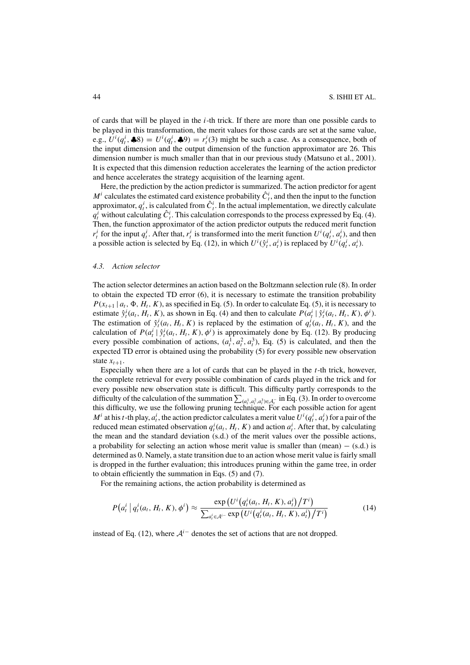of cards that will be played in the *i*-th trick. If there are more than one possible cards to be played in this transformation, the merit values for those cards are set at the same value, e.g.,  $U^i(q_i^i, \clubsuit 8) = U^i(q_i^i, \clubsuit 9) = r_i^i(3)$  might be such a case. As a consequence, both of the input dimension and the output dimension of the function approximator are 26. This dimension number is much smaller than that in our previous study (Matsuno et al., 2001). It is expected that this dimension reduction accelerates the learning of the action predictor and hence accelerates the strategy acquisition of the learning agent.

Here, the prediction by the action predictor is summarized. The action predictor for agent  $M^i$  calculates the estimated card existence probability  $\hat{C}^i_t$ , and then the input to the function approximator,  $q_t^i$ , is calculated from  $\hat{C}_t^i$ . In the actual implementation, we directly calculate  $q_t^i$  without calculating  $\hat{C}_t^i$ . This calculation corresponds to the process expressed by Eq. (4). Then, the function approximator of the action predictor outputs the reduced merit function  $r_t^i$  for the input  $q_t^i$ . After that,  $r_t^i$  is transformed into the merit function  $U^i(q_t^i, a_t^i)$ , and then a possible action is selected by Eq. (12), in which  $U^i(\hat{y}_t^i, a_t^i)$  is replaced by  $U^i(q_t^i, a_t^i)$ .

#### *4.3. Action selector*

The action selector determines an action based on the Boltzmann selection rule (8). In order to obtain the expected TD error (6), it is necessary to estimate the transition probability  $P(x_{t+1} | a_t, \Phi, H_t, K)$ , as specified in Eq. (5). In order to calculate Eq. (5), it is necessary to estimate  $\hat{y}_t^i(a_t, H_t, K)$ , as shown in Eq. (4) and then to calculate  $P(a_t^i | \hat{y}_t^i(a_t, H_t, K), \phi^i)$ . The estimation of  $\hat{y}_t^i(a_t, H_t, K)$  is replaced by the estimation of  $q_t^i(a_t, H_t, K)$ , and the calculation of  $P(a_t^i | \hat{y}_t^i(a_t, H_t, K), \phi^i)$  is approximately done by Eq. (12). By producing every possible combination of actions,  $(a_t^1, a_t^2, a_t^3)$ , Eq. (5) is calculated, and then the expected TD error is obtained using the probability (5) for every possible new observation state  $x_{t+1}$ .

Especially when there are a lot of cards that can be played in the *t*-th trick, however, the complete retrieval for every possible combination of cards played in the trick and for every possible new observation state is difficult. This difficulty partly corresponds to the difficulty of the calculation of the summation  $\sum_{(a_i^1, a_i^2, a_i^3) \in A_i^-}$  in Eq. (3). In order to overcome this difficulty, we use the following pruning technique. For each possible action for agent  $M^i$  at his *t*-th play,  $a_t^i$ , the action predictor calculates a merit value  $U^i(q_t^i, a_t^i)$  for a pair of the reduced mean estimated observation  $q_t^i(a_t, H_t, K)$  and action  $a_t^i$ . After that, by calculating the mean and the standard deviation (s.d.) of the merit values over the possible actions, a probability for selecting an action whose merit value is smaller than (mean)  $-$  (s.d.) is determined as 0. Namely, a state transition due to an action whose merit value is fairly small is dropped in the further evaluation; this introduces pruning within the game tree, in order to obtain efficiently the summation in Eqs. (5) and (7).

For the remaining actions, the action probability is determined as

$$
P\left(a_t^i \left| q_t^i(a_t, H_t, K), \phi^i \right. \right) \approx \frac{\exp\left(U^i \left( q_t^i(a_t, H_t, K), a_t^i \right) / T^i \right)}{\sum_{a_t^i \in \mathcal{A}^i} \exp\left(U^i \left( q_t^i(a_t, H_t, K), a_t^i \right) / T^i \right)}
$$
(14)

instead of Eq. (12), where  $A^{i-}$  denotes the set of actions that are not dropped.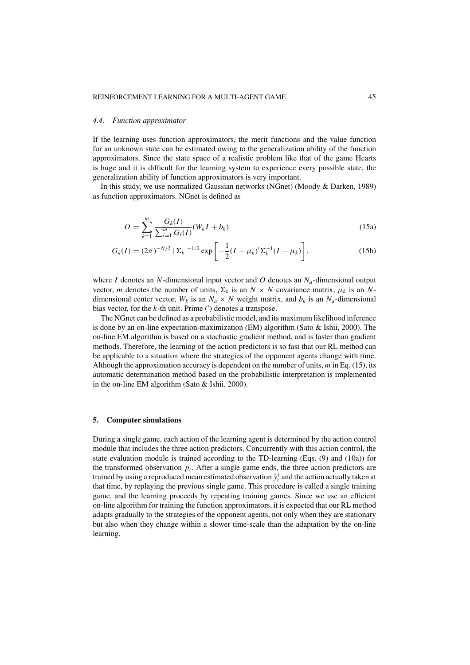#### *4.4. Function approximator*

If the learning uses function approximators, the merit functions and the value function for an unknown state can be estimated owing to the generalization ability of the function approximators. Since the state space of a realistic problem like that of the game Hearts is huge and it is difficult for the learning system to experience every possible state, the generalization ability of function approximators is very important.

In this study, we use normalized Gaussian networks (NGnet) (Moody & Darken, 1989) as function approximators. NGnet is defined as

$$
O = \sum_{k=1}^{m} \frac{G_k(I)}{\sum_{l=1}^{m} G_l(I)} (W_k I + b_k)
$$
\n(15a)

$$
G_k(I) = (2\pi)^{-N/2} |\Sigma_k|^{-1/2} \exp\left[-\frac{1}{2}(I - \mu_k)' \Sigma_k^{-1} (I - \mu_k)\right],
$$
 (15b)

where *I* denotes an *N*-dimensional input vector and *O* denotes an  $N_a$ -dimensional output vector, *m* denotes the number of units,  $\Sigma_k$  is an  $N \times N$  covariance matrix,  $\mu_k$  is an Ndimensional center vector,  $W_k$  is an  $N_a \times N$  weight matrix, and  $b_k$  is an  $N_a$ -dimensional bias vector, for the *k*-th unit. Prime ( ) denotes a transpose.

The NGnet can be defined as a probabilistic model, and its maximum likelihood inference is done by an on-line expectation-maximization (EM) algorithm (Sato & Ishii, 2000). The on-line EM algorithm is based on a stochastic gradient method, and is faster than gradient methods. Therefore, the learning of the action predictors is so fast that our RL method can be applicable to a situation where the strategies of the opponent agents change with time. Although the approximation accuracy is dependent on the number of units, *m* in Eq. (15), its automatic determination method based on the probabilistic interpretation is implemented in the on-line EM algorithm (Sato & Ishii, 2000).

#### **5. Computer simulations**

During a single game, each action of the learning agent is determined by the action control module that includes the three action predictors. Concurrently with this action control, the state evaluation module is trained according to the TD-learning (Eqs. (9) and (10a)) for the transformed observation  $p_t$ . After a single game ends, the three action predictors are trained by using a reproduced mean estimated observation  $\hat{y}^i_t$  and the action actually taken at that time, by replaying the previous single game. This procedure is called a single training game, and the learning proceeds by repeating training games. Since we use an efficient on-line algorithm for training the function approximators, it is expected that our RL method adapts gradually to the strategies of the opponent agents, not only when they are stationary but also when they change within a slower time-scale than the adaptation by the on-line learning.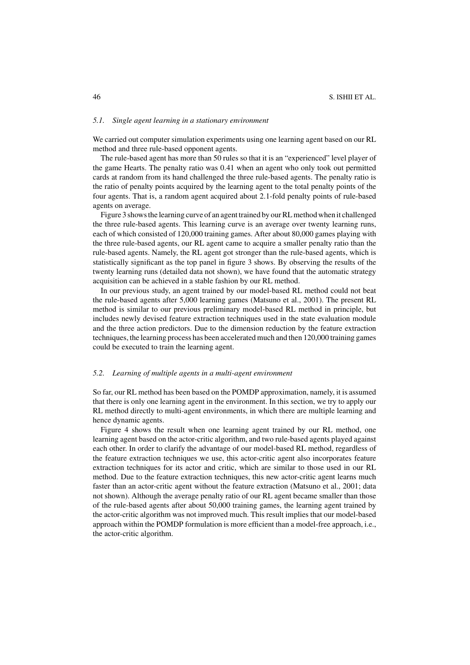#### *5.1. Single agent learning in a stationary environment*

We carried out computer simulation experiments using one learning agent based on our RL method and three rule-based opponent agents.

The rule-based agent has more than 50 rules so that it is an "experienced" level player of the game Hearts. The penalty ratio was 0.41 when an agent who only took out permitted cards at random from its hand challenged the three rule-based agents. The penalty ratio is the ratio of penalty points acquired by the learning agent to the total penalty points of the four agents. That is, a random agent acquired about 2.1-fold penalty points of rule-based agents on average.

Figure 3 shows the learning curve of an agent trained by our RL method when it challenged the three rule-based agents. This learning curve is an average over twenty learning runs, each of which consisted of 120,000 training games. After about 80,000 games playing with the three rule-based agents, our RL agent came to acquire a smaller penalty ratio than the rule-based agents. Namely, the RL agent got stronger than the rule-based agents, which is statistically significant as the top panel in figure 3 shows. By observing the results of the twenty learning runs (detailed data not shown), we have found that the automatic strategy acquisition can be achieved in a stable fashion by our RL method.

In our previous study, an agent trained by our model-based RL method could not beat the rule-based agents after 5,000 learning games (Matsuno et al., 2001). The present RL method is similar to our previous preliminary model-based RL method in principle, but includes newly devised feature extraction techniques used in the state evaluation module and the three action predictors. Due to the dimension reduction by the feature extraction techniques, the learning process has been accelerated much and then 120,000 training games could be executed to train the learning agent.

#### *5.2. Learning of multiple agents in a multi-agent environment*

So far, our RL method has been based on the POMDP approximation, namely, it is assumed that there is only one learning agent in the environment. In this section, we try to apply our RL method directly to multi-agent environments, in which there are multiple learning and hence dynamic agents.

Figure 4 shows the result when one learning agent trained by our RL method, one learning agent based on the actor-critic algorithm, and two rule-based agents played against each other. In order to clarify the advantage of our model-based RL method, regardless of the feature extraction techniques we use, this actor-critic agent also incorporates feature extraction techniques for its actor and critic, which are similar to those used in our RL method. Due to the feature extraction techniques, this new actor-critic agent learns much faster than an actor-critic agent without the feature extraction (Matsuno et al., 2001; data not shown). Although the average penalty ratio of our RL agent became smaller than those of the rule-based agents after about 50,000 training games, the learning agent trained by the actor-critic algorithm was not improved much. This result implies that our model-based approach within the POMDP formulation is more efficient than a model-free approach, i.e., the actor-critic algorithm.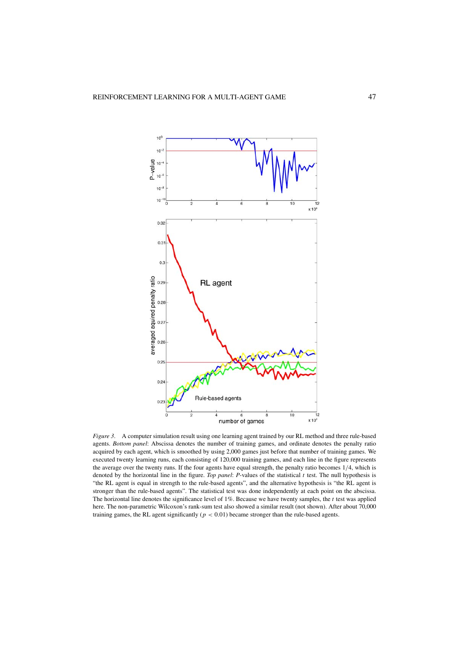

*Figure 3*. A computer simulation result using one learning agent trained by our RL method and three rule-based agents. *Bottom panel*: Abscissa denotes the number of training games, and ordinate denotes the penalty ratio acquired by each agent, which is smoothed by using 2,000 games just before that number of training games. We executed twenty learning runs, each consisting of 120,000 training games, and each line in the figure represents the average over the twenty runs. If the four agents have equal strength, the penalty ratio becomes 1/4, which is denoted by the horizontal line in the figure. *Top panel*: *P*-values of the statistical *t* test. The null hypothesis is "the RL agent is equal in strength to the rule-based agents", and the alternative hypothesis is "the RL agent is stronger than the rule-based agents". The statistical test was done independently at each point on the abscissa. The horizontal line denotes the significance level of 1%. Because we have twenty samples, the *t* test was applied here. The non-parametric Wilcoxon's rank-sum test also showed a similar result (not shown). After about 70,000 training games, the RL agent significantly ( $p < 0.01$ ) became stronger than the rule-based agents.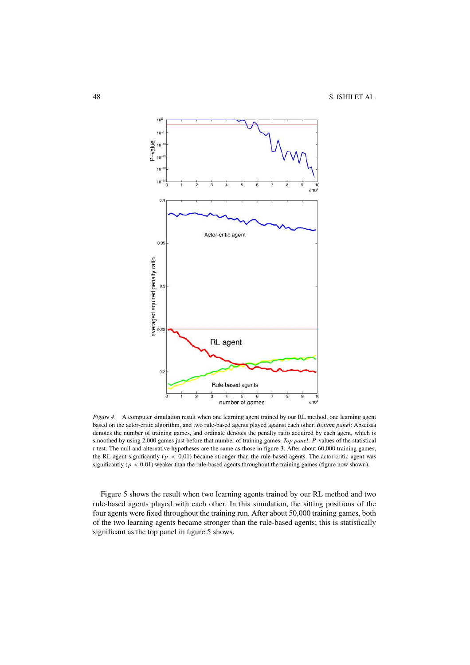

*Figure 4.* A computer simulation result when one learning agent trained by our RL method, one learning agent based on the actor-critic algorithm, and two rule-based agents played against each other. *Bottom panel*: Abscissa denotes the number of training games, and ordinate denotes the penalty ratio acquired by each agent, which is smoothed by using 2,000 games just before that number of training games. *Top panel*: *P*-values of the statistical *t* test. The null and alternative hypotheses are the same as those in figure 3. After about 60,000 training games, the RL agent significantly ( $p < 0.01$ ) became stronger than the rule-based agents. The actor-critic agent was significantly ( $p < 0.01$ ) weaker than the rule-based agents throughout the training games (figure now shown).

Figure 5 shows the result when two learning agents trained by our RL method and two rule-based agents played with each other. In this simulation, the sitting positions of the four agents were fixed throughout the training run. After about 50,000 training games, both of the two learning agents became stronger than the rule-based agents; this is statistically significant as the top panel in figure 5 shows.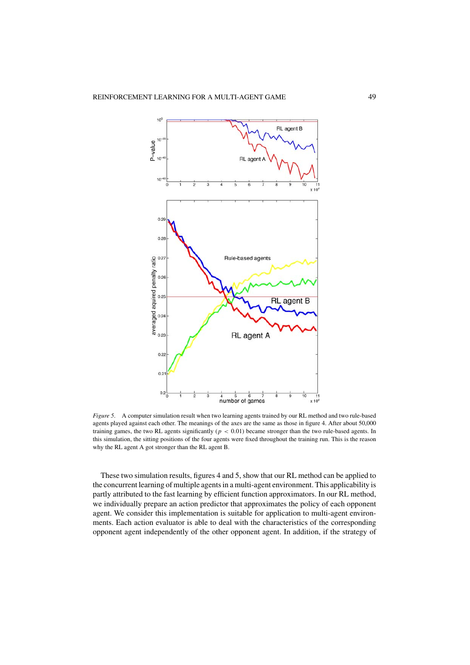

*Figure 5*. A computer simulation result when two learning agents trained by our RL method and two rule-based agents played against each other. The meanings of the axes are the same as those in figure 4. After about 50,000 training games, the two RL agents significantly  $(p < 0.01)$  became stronger than the two rule-based agents. In this simulation, the sitting positions of the four agents were fixed throughout the training run. This is the reason why the RL agent A got stronger than the RL agent B.

These two simulation results, figures 4 and 5, show that our RL method can be applied to the concurrent learning of multiple agents in a multi-agent environment. This applicability is partly attributed to the fast learning by efficient function approximators. In our RL method, we individually prepare an action predictor that approximates the policy of each opponent agent. We consider this implementation is suitable for application to multi-agent environments. Each action evaluator is able to deal with the characteristics of the corresponding opponent agent independently of the other opponent agent. In addition, if the strategy of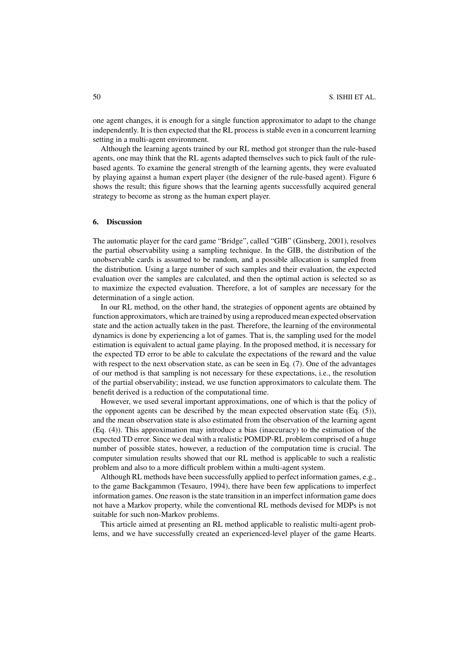one agent changes, it is enough for a single function approximator to adapt to the change independently. It is then expected that the RL process is stable even in a concurrent learning setting in a multi-agent environment.

Although the learning agents trained by our RL method got stronger than the rule-based agents, one may think that the RL agents adapted themselves such to pick fault of the rulebased agents. To examine the general strength of the learning agents, they were evaluated by playing against a human expert player (the designer of the rule-based agent). Figure 6 shows the result; this figure shows that the learning agents successfully acquired general strategy to become as strong as the human expert player.

## **6. Discussion**

The automatic player for the card game "Bridge", called "GIB" (Ginsberg, 2001), resolves the partial observability using a sampling technique. In the GIB, the distribution of the unobservable cards is assumed to be random, and a possible allocation is sampled from the distribution. Using a large number of such samples and their evaluation, the expected evaluation over the samples are calculated, and then the optimal action is selected so as to maximize the expected evaluation. Therefore, a lot of samples are necessary for the determination of a single action.

In our RL method, on the other hand, the strategies of opponent agents are obtained by function approximators, which are trained by using a reproduced mean expected observation state and the action actually taken in the past. Therefore, the learning of the environmental dynamics is done by experiencing a lot of games. That is, the sampling used for the model estimation is equivalent to actual game playing. In the proposed method, it is necessary for the expected TD error to be able to calculate the expectations of the reward and the value with respect to the next observation state, as can be seen in Eq. (7). One of the advantages of our method is that sampling is not necessary for these expectations, i.e., the resolution of the partial observability; instead, we use function approximators to calculate them. The benefit derived is a reduction of the computational time.

However, we used several important approximations, one of which is that the policy of the opponent agents can be described by the mean expected observation state (Eq. (5)), and the mean observation state is also estimated from the observation of the learning agent (Eq. (4)). This approximation may introduce a bias (inaccuracy) to the estimation of the expected TD error. Since we deal with a realistic POMDP-RL problem comprised of a huge number of possible states, however, a reduction of the computation time is crucial. The computer simulation results showed that our RL method is applicable to such a realistic problem and also to a more difficult problem within a multi-agent system.

Although RL methods have been successfully applied to perfect information games, e.g., to the game Backgammon (Tesauro, 1994), there have been few applications to imperfect information games. One reason is the state transition in an imperfect information game does not have a Markov property, while the conventional RL methods devised for MDPs is not suitable for such non-Markov problems.

This article aimed at presenting an RL method applicable to realistic multi-agent problems, and we have successfully created an experienced-level player of the game Hearts.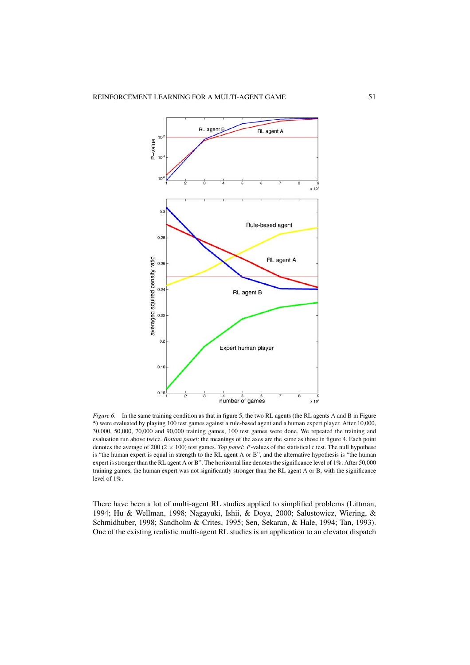

*Figure 6*. In the same training condition as that in figure 5, the two RL agents (the RL agents A and B in Figure 5) were evaluated by playing 100 test games against a rule-based agent and a human expert player. After 10,000, 30,000, 50,000, 70,000 and 90,000 training games, 100 test games were done. We repeated the training and evaluation run above twice. *Bottom panel*: the meanings of the axes are the same as those in figure 4. Each point denotes the average of 200 (2  $\times$  100) test games. *Top panel*: *P*-values of the statistical *t* test. The null hypothese is "the human expert is equal in strength to the RL agent A or B", and the alternative hypothesis is "the human expert is stronger than the RL agent A or B". The horizontal line denotes the significance level of 1%. After 50,000 training games, the human expert was not significantly stronger than the RL agent A or B, with the significance level of 1%.

There have been a lot of multi-agent RL studies applied to simplified problems (Littman, 1994; Hu & Wellman, 1998; Nagayuki, Ishii, & Doya, 2000; Salustowicz, Wiering, & Schmidhuber, 1998; Sandholm & Crites, 1995; Sen, Sekaran, & Hale, 1994; Tan, 1993). One of the existing realistic multi-agent RL studies is an application to an elevator dispatch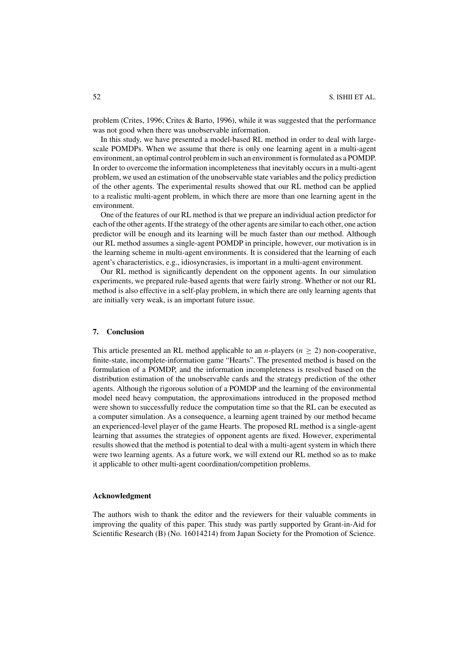problem (Crites, 1996; Crites & Barto, 1996), while it was suggested that the performance was not good when there was unobservable information.

In this study, we have presented a model-based RL method in order to deal with largescale POMDPs. When we assume that there is only one learning agent in a multi-agent environment, an optimal control problem in such an environment is formulated as a POMDP. In order to overcome the information incompleteness that inevitably occurs in a multi-agent problem, we used an estimation of the unobservable state variables and the policy prediction of the other agents. The experimental results showed that our RL method can be applied to a realistic multi-agent problem, in which there are more than one learning agent in the environment.

One of the features of our RL method is that we prepare an individual action predictor for each of the other agents. If the strategy of the other agents are similar to each other, one action predictor will be enough and its learning will be much faster than our method. Although our RL method assumes a single-agent POMDP in principle, however, our motivation is in the learning scheme in multi-agent environments. It is considered that the learning of each agent's characteristics, e.g., idiosyncrasies, is important in a multi-agent environment.

Our RL method is significantly dependent on the opponent agents. In our simulation experiments, we prepared rule-based agents that were fairly strong. Whether or not our RL method is also effective in a self-play problem, in which there are only learning agents that are initially very weak, is an important future issue.

#### **7. Conclusion**

This article presented an RL method applicable to an *n*-players ( $n > 2$ ) non-cooperative, finite-state, incomplete-information game "Hearts". The presented method is based on the formulation of a POMDP, and the information incompleteness is resolved based on the distribution estimation of the unobservable cards and the strategy prediction of the other agents. Although the rigorous solution of a POMDP and the learning of the environmental model need heavy computation, the approximations introduced in the proposed method were shown to successfully reduce the computation time so that the RL can be executed as a computer simulation. As a consequence, a learning agent trained by our method became an experienced-level player of the game Hearts. The proposed RL method is a single-agent learning that assumes the strategies of opponent agents are fixed. However, experimental results showed that the method is potential to deal with a multi-agent system in which there were two learning agents. As a future work, we will extend our RL method so as to make it applicable to other multi-agent coordination/competition problems.

#### **Acknowledgment**

The authors wish to thank the editor and the reviewers for their valuable comments in improving the quality of this paper. This study was partly supported by Grant-in-Aid for Scientific Research (B) (No. 16014214) from Japan Society for the Promotion of Science.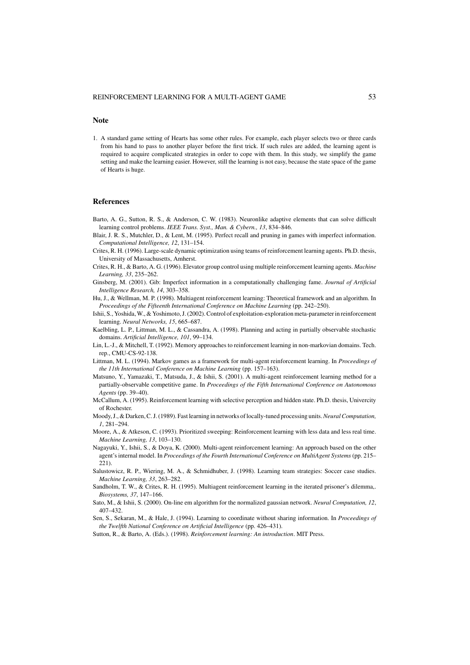#### **Note**

1. A standard game setting of Hearts has some other rules. For example, each player selects two or three cards from his hand to pass to another player before the first trick. If such rules are added, the learning agent is required to acquire complicated strategies in order to cope with them. In this study, we simplify the game setting and make the learning easier. However, still the learning is not easy, because the state space of the game of Hearts is huge.

#### **References**

- Barto, A. G., Sutton, R. S., & Anderson, C. W. (1983). Neuronlike adaptive elements that can solve difficult learning control problems. *IEEE Trans. Syst., Man. & Cybern., 13*, 834–846.
- Blair, J. R. S., Mutchler, D., & Lent, M. (1995). Perfect recall and pruning in games with imperfect information. *Computational Intelligence, 12*, 131–154.
- Crites, R. H. (1996). Large-scale dynamic optimization using teams of reinforcement learning agents. Ph.D. thesis, University of Massachusetts, Amherst.
- Crites, R. H., & Barto, A. G. (1996). Elevator group control using multiple reinforcement learning agents. *Machine Learning, 33*, 235–262.
- Ginsberg, M. (2001). Gib: Imperfect information in a computationally challenging fame. *Journal of Artificial Intelligence Research, 14*, 303–358.
- Hu, J., & Wellman, M. P. (1998). Multiagent reinforcement learning: Theoretical framework and an algorithm. In *Proceedings of the Fifteenth International Conference on Machine Learning* (pp. 242–250).
- Ishii, S., Yoshida, W., & Yoshimoto, J. (2002). Control of exploitation-exploration meta-parameter in reinforcement learning. *Neural Networks, 15*, 665–687.
- Kaelbling, L. P., Littman, M. L., & Cassandra, A. (1998). Planning and acting in partially observable stochastic domains. *Artificial Intelligence, 101*, 99–134.
- Lin, L.-J., & Mitchell, T. (1992). Memory approaches to reinforcement learning in non-markovian domains. Tech. rep., CMU-CS-92-138.
- Littman, M. L. (1994). Markov games as a framework for multi-agent reinforcement learning. In *Proceedings of the 11th International Conference on Machine Learning* (pp. 157–163).
- Matsuno, Y., Yamazaki, T., Matsuda, J., & Ishii, S. (2001). A multi-agent reinforcement learning method for a partially-observable competitive game. In *Proceedings of the Fifth International Conference on Autonomous Agents* (pp. 39–40).
- McCallum, A. (1995). Reinforcement learning with selective perception and hidden state. Ph.D. thesis, Univercity of Rochester.
- Moody, J., & Darken, C. J. (1989). Fast learning in networks of locally-tuned processing units.*Neural Computation, 1*, 281–294.
- Moore, A., & Atkeson, C. (1993). Prioritized sweeping: Reinforcement learning with less data and less real time. *Machine Learning, 13*, 103–130.
- Nagayuki, Y., Ishii, S., & Doya, K. (2000). Multi-agent reinforcement learning: An approach based on the other agent's internal model. In *Proceedings of the Fourth International Conference on MultiAgent Systems* (pp. 215– 221).
- Salustowicz, R. P., Wiering, M. A., & Schmidhuber, J. (1998). Learning team strategies: Soccer case studies. *Machine Learning, 33*, 263–282.
- Sandholm, T. W., & Crites, R. H. (1995). Multiagent reinforcement learning in the iterated prisoner's dilemma,. *Biosystems, 37*, 147–166.
- Sato, M., & Ishii, S. (2000). On-line em algorithm for the normalized gaussian network. *Neural Computation, 12*, 407–432.
- Sen, S., Sekaran, M., & Hale, J. (1994). Learning to coordinate without sharing information. In *Proceedings of the Twelfth National Conference on Artificial Intelligence* (pp. 426–431).
- Sutton, R., & Barto, A. (Eds.). (1998). *Reinforcement learning: An introduction*. MIT Press.